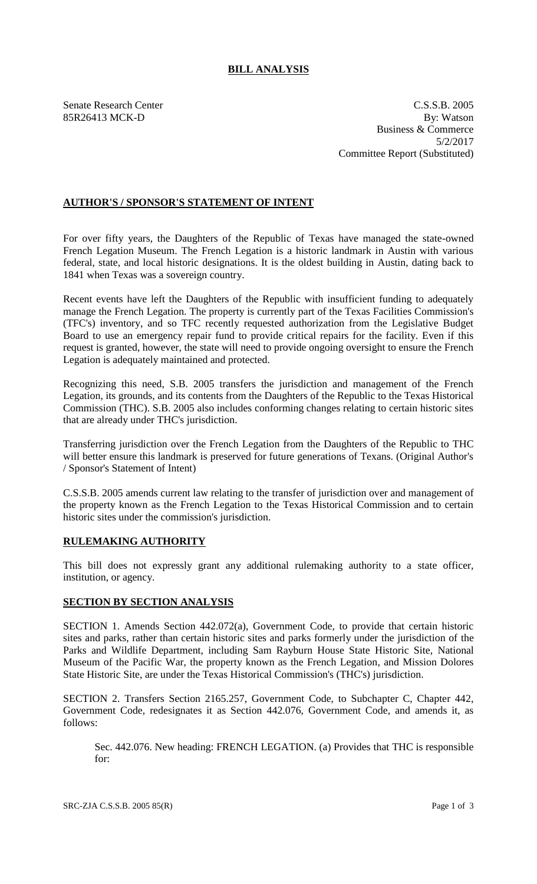## **BILL ANALYSIS**

Senate Research Center C.S.S.B. 2005 85R26413 MCK-D By: Watson Business & Commerce 5/2/2017 Committee Report (Substituted)

## **AUTHOR'S / SPONSOR'S STATEMENT OF INTENT**

For over fifty years, the Daughters of the Republic of Texas have managed the state-owned French Legation Museum. The French Legation is a historic landmark in Austin with various federal, state, and local historic designations. It is the oldest building in Austin, dating back to 1841 when Texas was a sovereign country.

Recent events have left the Daughters of the Republic with insufficient funding to adequately manage the French Legation. The property is currently part of the Texas Facilities Commission's (TFC's) inventory, and so TFC recently requested authorization from the Legislative Budget Board to use an emergency repair fund to provide critical repairs for the facility. Even if this request is granted, however, the state will need to provide ongoing oversight to ensure the French Legation is adequately maintained and protected.

Recognizing this need, S.B. 2005 transfers the jurisdiction and management of the French Legation, its grounds, and its contents from the Daughters of the Republic to the Texas Historical Commission (THC). S.B. 2005 also includes conforming changes relating to certain historic sites that are already under THC's jurisdiction.

Transferring jurisdiction over the French Legation from the Daughters of the Republic to THC will better ensure this landmark is preserved for future generations of Texans. (Original Author's / Sponsor's Statement of Intent)

C.S.S.B. 2005 amends current law relating to the transfer of jurisdiction over and management of the property known as the French Legation to the Texas Historical Commission and to certain historic sites under the commission's jurisdiction.

## **RULEMAKING AUTHORITY**

This bill does not expressly grant any additional rulemaking authority to a state officer, institution, or agency.

## **SECTION BY SECTION ANALYSIS**

SECTION 1. Amends Section 442.072(a), Government Code, to provide that certain historic sites and parks, rather than certain historic sites and parks formerly under the jurisdiction of the Parks and Wildlife Department, including Sam Rayburn House State Historic Site, National Museum of the Pacific War, the property known as the French Legation, and Mission Dolores State Historic Site, are under the Texas Historical Commission's (THC's) jurisdiction.

SECTION 2. Transfers Section 2165.257, Government Code, to Subchapter C, Chapter 442, Government Code, redesignates it as Section 442.076, Government Code, and amends it, as follows:

Sec. 442.076. New heading: FRENCH LEGATION. (a) Provides that THC is responsible for: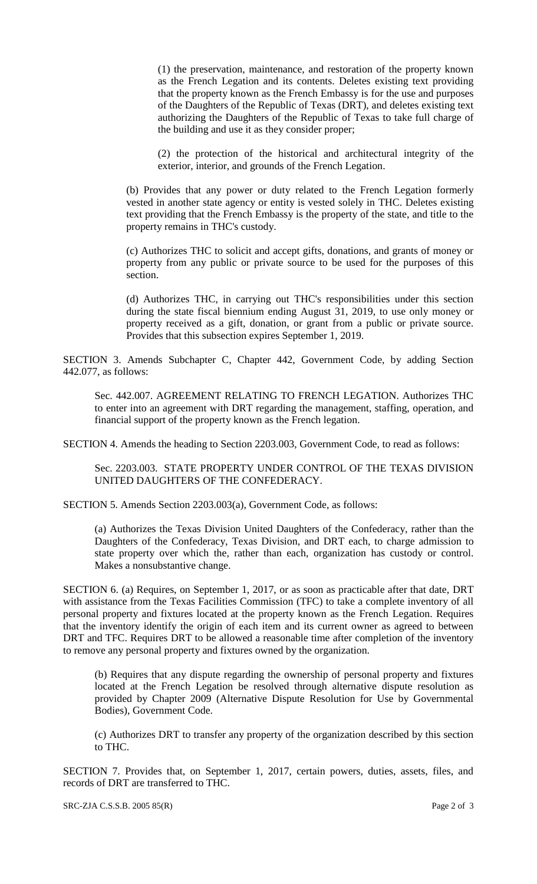(1) the preservation, maintenance, and restoration of the property known as the French Legation and its contents. Deletes existing text providing that the property known as the French Embassy is for the use and purposes of the Daughters of the Republic of Texas (DRT), and deletes existing text authorizing the Daughters of the Republic of Texas to take full charge of the building and use it as they consider proper;

(2) the protection of the historical and architectural integrity of the exterior, interior, and grounds of the French Legation.

(b) Provides that any power or duty related to the French Legation formerly vested in another state agency or entity is vested solely in THC. Deletes existing text providing that the French Embassy is the property of the state, and title to the property remains in THC's custody.

(c) Authorizes THC to solicit and accept gifts, donations, and grants of money or property from any public or private source to be used for the purposes of this section.

(d) Authorizes THC, in carrying out THC's responsibilities under this section during the state fiscal biennium ending August 31, 2019, to use only money or property received as a gift, donation, or grant from a public or private source. Provides that this subsection expires September 1, 2019.

SECTION 3. Amends Subchapter C, Chapter 442, Government Code, by adding Section 442.077, as follows:

Sec. 442.007. AGREEMENT RELATING TO FRENCH LEGATION. Authorizes THC to enter into an agreement with DRT regarding the management, staffing, operation, and financial support of the property known as the French legation.

SECTION 4. Amends the heading to Section 2203.003, Government Code, to read as follows:

Sec. 2203.003. STATE PROPERTY UNDER CONTROL OF THE TEXAS DIVISION UNITED DAUGHTERS OF THE CONFEDERACY.

SECTION 5. Amends Section 2203.003(a), Government Code, as follows:

(a) Authorizes the Texas Division United Daughters of the Confederacy, rather than the Daughters of the Confederacy, Texas Division, and DRT each, to charge admission to state property over which the, rather than each, organization has custody or control. Makes a nonsubstantive change.

SECTION 6. (a) Requires, on September 1, 2017, or as soon as practicable after that date, DRT with assistance from the Texas Facilities Commission (TFC) to take a complete inventory of all personal property and fixtures located at the property known as the French Legation. Requires that the inventory identify the origin of each item and its current owner as agreed to between DRT and TFC. Requires DRT to be allowed a reasonable time after completion of the inventory to remove any personal property and fixtures owned by the organization.

(b) Requires that any dispute regarding the ownership of personal property and fixtures located at the French Legation be resolved through alternative dispute resolution as provided by Chapter 2009 (Alternative Dispute Resolution for Use by Governmental Bodies), Government Code.

(c) Authorizes DRT to transfer any property of the organization described by this section to THC.

SECTION 7. Provides that, on September 1, 2017, certain powers, duties, assets, files, and records of DRT are transferred to THC.